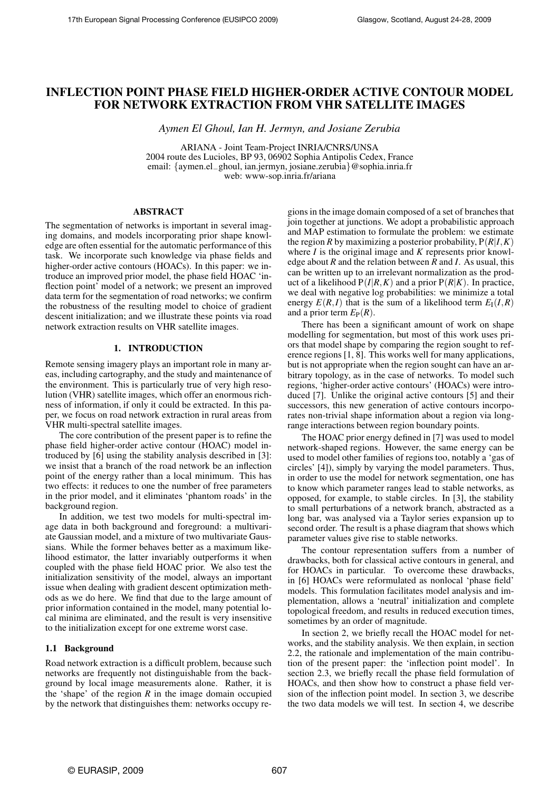# **INFLECTION POINT PHASE FIELD HIGHER-ORDER ACTIVE CONTOUR MODEL FOR NETWORK EXTRACTION FROM VHR SATELLITE IMAGES**

*Aymen El Ghoul, Ian H. Jermyn, and Josiane Zerubia*

ARIANA - Joint Team-Project INRIA/CNRS/UNSA 2004 route des Lucioles, BP 93, 06902 Sophia Antipolis Cedex, France email: {aymen.el−ghoul, ian.jermyn, josiane.zerubia}@sophia.inria.fr web: www-sop.inria.fr/ariana

## **ABSTRACT**

The segmentation of networks is important in several imaging domains, and models incorporating prior shape knowledge are often essential for the automatic performance of this task. We incorporate such knowledge via phase fields and higher-order active contours (HOACs). In this paper: we introduce an improved prior model, the phase field HOAC 'inflection point' model of a network; we present an improved data term for the segmentation of road networks; we confirm the robustness of the resulting model to choice of gradient descent initialization; and we illustrate these points via road network extraction results on VHR satellite images.

## **1. INTRODUCTION**

Remote sensing imagery plays an important role in many areas, including cartography, and the study and maintenance of the environment. This is particularly true of very high resolution (VHR) satellite images, which offer an enormous richness of information, if only it could be extracted. In this paper, we focus on road network extraction in rural areas from VHR multi-spectral satellite images.

The core contribution of the present paper is to refine the phase field higher-order active contour (HOAC) model introduced by [6] using the stability analysis described in [3]: we insist that a branch of the road network be an inflection point of the energy rather than a local minimum. This has two effects: it reduces to one the number of free parameters in the prior model, and it eliminates 'phantom roads' in the background region.

In addition, we test two models for multi-spectral image data in both background and foreground: a multivariate Gaussian model, and a mixture of two multivariate Gaussians. While the former behaves better as a maximum likelihood estimator, the latter invariably outperforms it when coupled with the phase field HOAC prior. We also test the initialization sensitivity of the model, always an important issue when dealing with gradient descent optimization methods as we do here. We find that due to the large amount of prior information contained in the model, many potential local minima are eliminated, and the result is very insensitive to the initialization except for one extreme worst case.

## **1.1 Background**

Road network extraction is a difficult problem, because such networks are frequently not distinguishable from the background by local image measurements alone. Rather, it is the 'shape' of the region  $R$  in the image domain occupied by the network that distinguishes them: networks occupy regions in the image domain composed of a set of branches that join together at junctions. We adopt a probabilistic approach and MAP estimation to formulate the problem: we estimate the region *R* by maximizing a posterior probability,  $P(R|I,K)$ where *I* is the original image and *K* represents prior knowledge about *R* and the relation between *R* and *I*. As usual, this can be written up to an irrelevant normalization as the product of a likelihood  $P(I|R,K)$  and a prior  $P(R|K)$ . In practice, we deal with negative log probabilities: we minimize a total energy  $E(R, I)$  that is the sum of a likelihood term  $E_I(I, R)$ and a prior term  $E_P(R)$ .

There has been a significant amount of work on shape modelling for segmentation, but most of this work uses priors that model shape by comparing the region sought to reference regions [1, 8]. This works well for many applications, but is not appropriate when the region sought can have an arbitrary topology, as in the case of networks. To model such regions, 'higher-order active contours' (HOACs) were introduced [7]. Unlike the original active contours [5] and their successors, this new generation of active contours incorporates non-trivial shape information about a region via longrange interactions between region boundary points.

The HOAC prior energy defined in [7] was used to model network-shaped regions. However, the same energy can be used to model other families of regions too, notably a 'gas of circles' [4]), simply by varying the model parameters. Thus, in order to use the model for network segmentation, one has to know which parameter ranges lead to stable networks, as opposed, for example, to stable circles. In [3], the stability to small perturbations of a network branch, abstracted as a long bar, was analysed via a Taylor series expansion up to second order. The result is a phase diagram that shows which parameter values give rise to stable networks.

The contour representation suffers from a number of drawbacks, both for classical active contours in general, and for HOACs in particular. To overcome these drawbacks, in [6] HOACs were reformulated as nonlocal 'phase field' models. This formulation facilitates model analysis and implementation, allows a 'neutral' initialization and complete topological freedom, and results in reduced execution times, sometimes by an order of magnitude.

In section 2, we briefly recall the HOAC model for networks, and the stability analysis. We then explain, in section 2.2, the rationale and implementation of the main contribution of the present paper: the 'inflection point model'. In section 2.3, we briefly recall the phase field formulation of HOACs, and then show how to construct a phase field version of the inflection point model. In section 3, we describe the two data models we will test. In section 4, we describe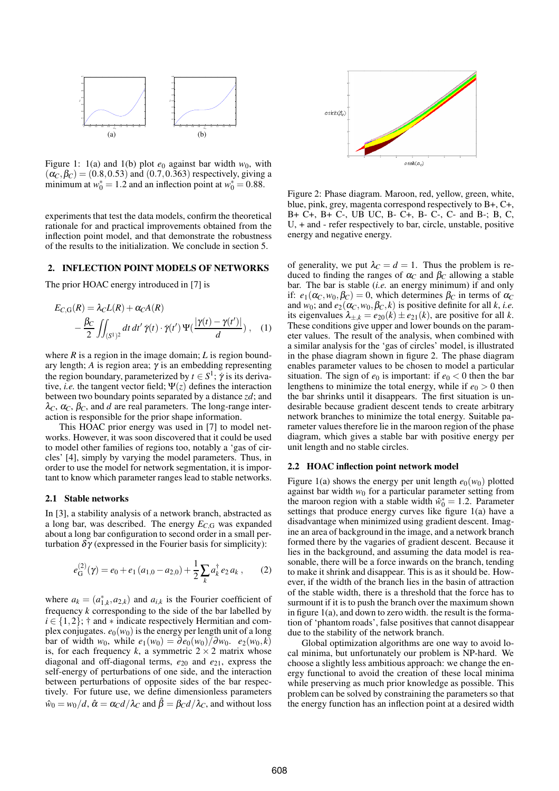

Figure 1: 1(a) and 1(b) plot  $e_0$  against bar width  $w_0$ , with  $(\alpha_C, \beta_C) = (0.8, 0.53)$  and  $(0.7, 0.363)$  respectively, giving a minimum at  $w_0^* = 1.2$  and an inflection point at  $w_0^* = 0.88$ .

experiments that test the data models, confirm the theoretical rationale for and practical improvements obtained from the inflection point model, and that demonstrate the robustness of the results to the initialization. We conclude in section 5.

## **2. INFLECTION POINT MODELS OF NETWORKS**

The prior HOAC energy introduced in [7] is

$$
E_{C,G}(R) = \lambda_C L(R) + \alpha_C A(R)
$$
  
 
$$
- \frac{\beta_C}{2} \iint_{(S^1)^2} dt \, dt' \, \dot{\gamma}(t) \cdot \dot{\gamma}(t') \, \Psi(\frac{|\gamma(t) - \gamma(t')|}{d}) \,, \quad (1)
$$

where *R* is a region in the image domain; *L* is region boundary length; *A* is region area; γ is an embedding representing the region boundary, parameterized by  $t \in S^1$ ;  $\dot{\gamma}$  is its derivative, *i.e.* the tangent vector field;  $\Psi(z)$  defines the interaction between two boundary points separated by a distance *zd*; and  $\lambda_C$ ,  $\alpha_C$ ,  $\beta_C$ , and *d* are real parameters. The long-range interaction is responsible for the prior shape information.

This HOAC prior energy was used in [7] to model networks. However, it was soon discovered that it could be used to model other families of regions too, notably a 'gas of circles' [4], simply by varying the model parameters. Thus, in order to use the model for network segmentation, it is important to know which parameter ranges lead to stable networks.

#### **2.1 Stable networks**

In [3], a stability analysis of a network branch, abstracted as a long bar, was described. The energy *EC*,<sup>G</sup> was expanded about a long bar configuration to second order in a small perturbation  $δγ$  (expressed in the Fourier basis for simplicity):

$$
e_{\mathcal{G}}^{(2)}(\gamma) = e_0 + e_1 (a_{1,0} - a_{2,0}) + \frac{1}{2} \sum_k a_k^{\dagger} e_2 a_k , \qquad (2)
$$

where  $a_k = (a_{1,k}^*, a_{2,k})$  and  $a_{i,k}$  is the Fourier coefficient of frequency *k* corresponding to the side of the bar labelled by  $i \in \{1, 2\}$ ; † and  $*$  indicate respectively Hermitian and complex conjugates.  $e_0(w_0)$  is the energy per length unit of a long bar of width  $w_0$ , while  $e_1(w_0) = \frac{\partial e_0(w_0)}{\partial w_0}$ .  $e_2(w_0, k)$ is, for each frequency *k*, a symmetric  $2 \times 2$  matrix whose diagonal and off-diagonal terms, *e*<sup>20</sup> and *e*21, express the self-energy of perturbations of one side, and the interaction between perturbations of opposite sides of the bar respectively. For future use, we define dimensionless parameters  $\hat{w}_0 = w_0/d$ ,  $\hat{\alpha} = \alpha_C d/\lambda_C$  and  $\hat{\beta} = \beta_C d/\lambda_C$ , and without loss



Figure 2: Phase diagram. Maroon, red, yellow, green, white, blue, pink, grey, magenta correspond respectively to B+, C+, B+ C+, B+ C-, UB UC, B- C+, B- C-, C- and B-; B, C, U, + and - refer respectively to bar, circle, unstable, positive energy and negative energy.

of generality, we put  $\lambda_c = d = 1$ . Thus the problem is reduced to finding the ranges of  $\alpha_C$  and  $\beta_C$  allowing a stable bar. The bar is stable (*i.e.* an energy minimum) if and only if:  $e_1(\alpha_C, w_0, \beta_C) = 0$ , which determines  $\beta_C$  in terms of  $\alpha_C$ and  $w_0$ ; and  $e_2(\alpha_C, w_0, \beta_C, k)$  is positive definite for all *k*, *i.e.* its eigenvalues  $\lambda_{+k} = e_{20}(k) \pm e_{21}(k)$ , are positive for all k. These conditions give upper and lower bounds on the parameter values. The result of the analysis, when combined with a similar analysis for the 'gas of circles' model, is illustrated in the phase diagram shown in figure 2. The phase diagram enables parameter values to be chosen to model a particular situation. The sign of  $e_0$  is important: if  $e_0 < 0$  then the bar lengthens to minimize the total energy, while if  $e_0 > 0$  then the bar shrinks until it disappears. The first situation is undesirable because gradient descent tends to create arbitrary network branches to minimize the total energy. Suitable parameter values therefore lie in the maroon region of the phase diagram, which gives a stable bar with positive energy per unit length and no stable circles.

#### **2.2 HOAC inflection point network model**

Figure 1(a) shows the energy per unit length  $e_0(w_0)$  plotted against bar width  $w_0$  for a particular parameter setting from the maroon region with a stable width  $\hat{w}_0^* = 1.2$ . Parameter settings that produce energy curves like figure 1(a) have a disadvantage when minimized using gradient descent. Imagine an area of background in the image, and a network branch formed there by the vagaries of gradient descent. Because it lies in the background, and assuming the data model is reasonable, there will be a force inwards on the branch, tending to make it shrink and disappear. This is as it should be. However, if the width of the branch lies in the basin of attraction of the stable width, there is a threshold that the force has to surmount if it is to push the branch over the maximum shown in figure 1(a), and down to zero width. the result is the formation of 'phantom roads', false positives that cannot disappear due to the stability of the network branch.

Global optimization algorithms are one way to avoid local minima, but unfortunately our problem is NP-hard. We choose a slightly less ambitious approach: we change the energy functional to avoid the creation of these local minima while preserving as much prior knowledge as possible. This problem can be solved by constraining the parameters so that the energy function has an inflection point at a desired width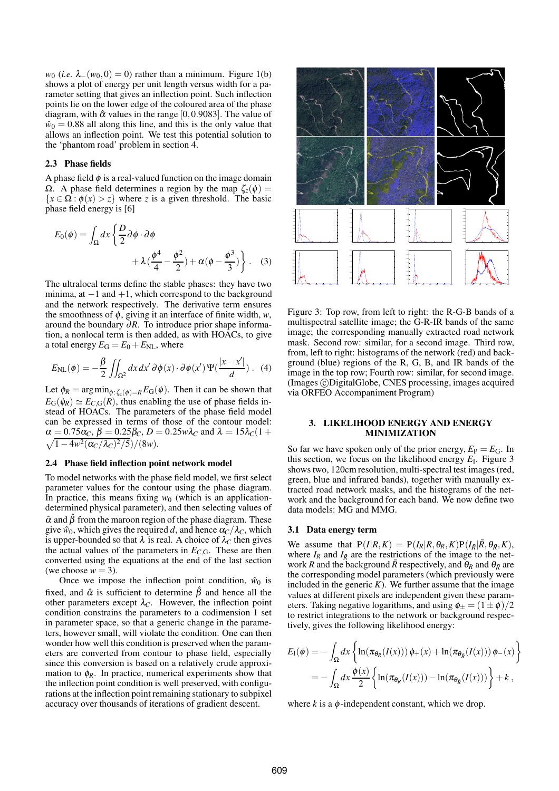*w*<sub>0</sub> (*i.e.*  $\lambda_-(w_0, 0) = 0$ ) rather than a minimum. Figure 1(b) shows a plot of energy per unit length versus width for a parameter setting that gives an inflection point. Such inflection points lie on the lower edge of the coloured area of the phase diagram, with  $\hat{\alpha}$  values in the range [0,0.9083]. The value of  $\hat{w}_0 = 0.88$  all along this line, and this is the only value that allows an inflection point. We test this potential solution to the 'phantom road' problem in section 4.

### **2.3 Phase fields**

A phase field  $\phi$  is a real-valued function on the image domain Ω. A phase field determines a region by the map  $\zeta$ <sub>z</sub>( $\phi$ ) =  ${x \in \Omega : \phi(x) > z}$  where *z* is a given threshold. The basic phase field energy is [6]

$$
E_0(\phi) = \int_{\Omega} dx \left\{ \frac{D}{2} \partial \phi \cdot \partial \phi + \lambda \left( \frac{\phi^4}{4} - \frac{\phi^2}{2} \right) + \alpha (\phi - \frac{\phi^3}{3}) \right\}.
$$
 (3)

The ultralocal terms define the stable phases: they have two minima, at  $-1$  and  $+1$ , which correspond to the background and the network respectively. The derivative term ensures the smoothness of  $\phi$ , giving it an interface of finite width,  $w$ , around the boundary ∂*R*. To introduce prior shape information, a nonlocal term is then added, as with HOACs, to give a total energy  $E_G = E_0 + E_{NL}$ , where

$$
E_{\rm NL}(\phi) = -\frac{\beta}{2} \iint_{\Omega^2} dx \, dx' \, \partial \phi(x) \cdot \partial \phi(x') \, \Psi(\frac{|x - x'|}{d}) \, . \tag{4}
$$

Let  $\phi_R = \arg \min_{\phi: \zeta_z(\phi) = R} E_G(\phi)$ . Then it can be shown that  $E_G(\phi_R) \simeq E_{C,G}(R)$ , thus enabling the use of phase fields instead of HOACs. The parameters of the phase field model can be expressed in terms of those of the contour model:  $\alpha = 0.75 \alpha_C, \beta = 0.25 \beta_C, D = 0.25 w \lambda_C$  and  $\lambda = 15 \lambda_C (1 + \sqrt{1 - 4w^2(\alpha_C/\lambda_C)^2/5})/(8w).$  $1-4w^2(\alpha_C/\lambda_C)^2/5)/(8w).$ 

#### **2.4 Phase field inflection point network model**

To model networks with the phase field model, we first select parameter values for the contour using the phase diagram. In practice, this means fixing  $w_0$  (which is an applicationdetermined physical parameter), and then selecting values of  $\hat{\alpha}$  and  $\hat{\beta}$  from the maroon region of the phase diagram. These give  $\hat{w}_0$ , which gives the required *d*, and hence  $\alpha_C/\lambda_C$ , which is upper-bounded so that  $\lambda$  is real. A choice of  $\lambda_c$  then gives the actual values of the parameters in  $E_{C,G}$ . These are then converted using the equations at the end of the last section (we choose  $w = 3$ ).

Once we impose the inflection point condition,  $\hat{w}_0$  is fixed, and  $\hat{\alpha}$  is sufficient to determine  $\hat{\beta}$  and hence all the other parameters except  $\lambda_C$ . However, the inflection point condition constrains the parameters to a codimension 1 set in parameter space, so that a generic change in the parameters, however small, will violate the condition. One can then wonder how well this condition is preserved when the parameters are converted from contour to phase field, especially since this conversion is based on a relatively crude approximation to  $\phi_R$ . In practice, numerical experiments show that the inflection point condition is well preserved, with configurations at the inflection point remaining stationary to subpixel accuracy over thousands of iterations of gradient descent.



Figure 3: Top row, from left to right: the R-G-B bands of a multispectral satellite image; the G-R-IR bands of the same image; the corresponding manually extracted road network mask. Second row: similar, for a second image. Third row, from, left to right: histograms of the network (red) and background (blue) regions of the R, G, B, and IR bands of the image in the top row; Fourth row: similar, for second image. (Images ©DigitalGlobe, CNES processing, images acquired via ORFEO Accompaniment Program)

#### **3. LIKELIHOOD ENERGY AND ENERGY MINIMIZATION**

So far we have spoken only of the prior energy,  $E_P = E_G$ . In this section, we focus on the likelihood energy  $E_I$ . Figure 3 shows two, 120cm resolution, multi-spectral test images (red, green, blue and infrared bands), together with manually extracted road network masks, and the histograms of the network and the background for each band. We now define two data models: MG and MMG.

### **3.1 Data energy term**

We assume that  $P(I|R, K) = P(I_R|R, \theta_R, K)P(I_{\bar{R}}|\bar{R}, \theta_{\bar{R}}, K)$ , where  $I_R$  and  $I_{\bar{R}}$  are the restrictions of the image to the network *R* and the background  $\bar{R}$  respectively, and  $\theta_R$  and  $\theta_{\bar{R}}$  are the corresponding model parameters (which previously were included in the generic  $K$ ). We further assume that the image values at different pixels are independent given these parameters. Taking negative logarithms, and using  $\phi_{\pm} = (1 \pm \phi)/2$ to restrict integrations to the network or background respectively, gives the following likelihood energy:

$$
E_{\rm I}(\phi) = -\int_{\Omega} dx \left\{ \ln(\pi_{\theta_R}(I(x))) \phi_+(x) + \ln(\pi_{\theta_R}(I(x))) \phi_-(x) \right\}
$$

$$
= -\int_{\Omega} dx \frac{\phi(x)}{2} \left\{ \ln(\pi_{\theta_R}(I(x))) - \ln(\pi_{\theta_R}(I(x))) \right\} + k,
$$

where  $k$  is a  $\phi$ -independent constant, which we drop.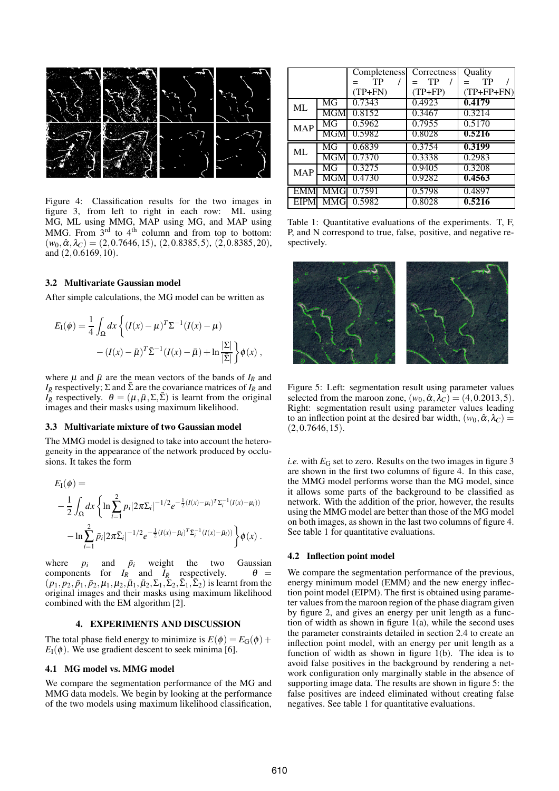

Figure 4: Classification results for the two images in figure 3, from left to right in each row: ML using MG, ML using MMG, MAP using MG, and MAP using MMG. From  $3^{rd}$  to  $4^{th}$  column and from top to bottom:  $(w_0, \hat{\alpha}, \lambda_C) = (2, 0.7646, 15), (2, 0.8385, 5), (2, 0.8385, 20),$ and (2,0.6169,10).

## **3.2 Multivariate Gaussian model**

After simple calculations, the MG model can be written as

$$
E_{\rm I}(\phi) = \frac{1}{4} \int_{\Omega} dx \left\{ (I(x) - \mu)^{T} \Sigma^{-1} (I(x) - \mu) - (I(x) - \bar{\mu})^{T} \bar{\Sigma}^{-1} (I(x) - \bar{\mu}) + \ln \frac{|\Sigma|}{|\bar{\Sigma}|} \right\} \phi(x) ,
$$

where  $\mu$  and  $\bar{\mu}$  are the mean vectors of the bands of  $I_R$  and  $I_{\bar{R}}$  respectively;  $\Sigma$  and  $\bar{\Sigma}$  are the covariance matrices of  $I_R$  and  $I_{\bar{R}}$  respectively.  $\theta = (\mu, \bar{\mu}, \Sigma, \bar{\Sigma})$  is learnt from the original images and their masks using maximum likelihood.

#### **3.3 Multivariate mixture of two Gaussian model**

The MMG model is designed to take into account the heterogeneity in the appearance of the network produced by occlusions. It takes the form

$$
E_{I}(\phi) =
$$
  
- $\frac{1}{2} \int_{\Omega} dx \left\{ \ln \sum_{i=1}^{2} p_{i} |2\pi \Sigma_{i}|^{-1/2} e^{-\frac{1}{2} (I(x) - \mu_{i})^{T} \Sigma_{i}^{-1} (I(x) - \mu_{i}))} - \ln \sum_{i=1}^{2} \bar{p}_{i} |2\pi \bar{\Sigma}_{i}|^{-1/2} e^{-\frac{1}{2} (I(x) - \bar{\mu}_{i})^{T} \bar{\Sigma}_{i}^{-1} (I(x) - \bar{\mu}_{i}))} \right\} \phi(x).$ 

where  $p_i$  and  $\bar{p}_i$  weight the two Gaussian components for  $I_R$  and  $I_{\bar{R}}$  respectively.  $\theta =$  $(p_1, p_2, \bar{p}_1, \bar{p}_2, \mu_1, \mu_2, \bar{\mu}_1, \bar{\mu}_2, \Sigma_1, \Sigma_2, \bar{\Sigma}_1, \bar{\Sigma}_2)$  is learnt from the original images and their masks using maximum likelihood combined with the EM algorithm [2].

#### **4. EXPERIMENTS AND DISCUSSION**

The total phase field energy to minimize is  $E(\phi) = E_G(\phi) +$  $E_I(\phi)$ . We use gradient descent to seek minima [6].

#### **4.1 MG model vs. MMG model**

We compare the segmentation performance of the MG and MMG data models. We begin by looking at the performance of the two models using maximum likelihood classification,

|            |            | Completeness | Correctness | Quality      |
|------------|------------|--------------|-------------|--------------|
|            |            | TP           | TP          | TP           |
|            |            | $(TP+FN)$    | $(TP+FP)$   | $(TP+FP+FN)$ |
| ML         | MG         | 0.7343       | 0.4923      | 0.4179       |
|            | MGM        | 0.8152       | 0.3467      | 0.3214       |
| <b>MAP</b> | MG         | 0.5962       | 0.7955      | 0.5170       |
|            | MGM        | 0.5982       | 0.8028      | 0.5216       |
| ML         | MG         | 0.6839       | 0.3754      | 0.3199       |
|            | <b>MGM</b> | 0.7370       | 0.3338      | 0.2983       |
| <b>MAP</b> | MG         | 0.3275       | 0.9405      | 0.3208       |
|            | MGM        | 0.4730       | 0.9282      | 0.4563       |
| <b>EMM</b> | MMG        | 0.7591       | 0.5798      | 0.4897       |
|            | MMGI       | 0.5982       | 0.8028      | 0.5216       |

Table 1: Quantitative evaluations of the experiments. T, F, P, and N correspond to true, false, positive, and negative respectively.



Figure 5: Left: segmentation result using parameter values selected from the maroon zone,  $(w_0, \hat{\alpha}, \lambda_C) = (4, 0.2013, 5)$ . Right: segmentation result using parameter values leading to an inflection point at the desired bar width,  $(w_0, \hat{\alpha}, \lambda_C)$  =  $(2,0.7646,15)$ .

*i.e.* with  $E_G$  set to zero. Results on the two images in figure 3 are shown in the first two columns of figure 4. In this case, the MMG model performs worse than the MG model, since it allows some parts of the background to be classified as network. With the addition of the prior, however, the results using the MMG model are better than those of the MG model on both images, as shown in the last two columns of figure 4. See table 1 for quantitative evaluations.

#### **4.2 Inflection point model**

We compare the segmentation performance of the previous, energy minimum model (EMM) and the new energy inflection point model (EIPM). The first is obtained using parameter values from the maroon region of the phase diagram given by figure 2, and gives an energy per unit length as a function of width as shown in figure  $1(a)$ , while the second uses the parameter constraints detailed in section 2.4 to create an inflection point model, with an energy per unit length as a function of width as shown in figure 1(b). The idea is to avoid false positives in the background by rendering a network configuration only marginally stable in the absence of supporting image data. The results are shown in figure 5: the false positives are indeed eliminated without creating false negatives. See table 1 for quantitative evaluations.